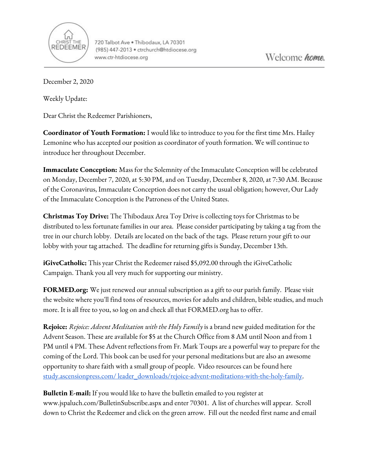

720 Talbot Ave . Thibodaux, LA 70301 (985) 447-2013 · ctrchurch@htdiocese.org www.ctr-htdiocese.org

December 2, 2020

Weekly Update:

Dear Christ the Redeemer Parishioners,

**Coordinator of Youth Formation:** I would like to introduce to you for the first time Mrs. Hailey Lemonine who has accepted our position as coordinator of youth formation. We will continue to introduce her throughout December.

**Immaculate Conception:** Mass for the Solemnity of the Immaculate Conception will be celebrated on Monday, December 7, 2020, at 5:30 PM, and on Tuesday, December 8, 2020, at 7:30 AM. Because of the Coronavirus, Immaculate Conception does not carry the usual obligation; however, Our Lady of the Immaculate Conception is the Patroness of the United States.

**Christmas Toy Drive:** The Thibodaux Area Toy Drive is collecting toys for Christmas to be distributed to less fortunate families in our area. Please consider participating by taking a tag from the tree in our church lobby. Details are located on the back of the tags. Please return your gift to our lobby with your tag attached. The deadline for returning gifts is Sunday, December 13th.

**iGiveCatholic:** This year Christ the Redeemer raised \$5,092.00 through the iGiveCatholic Campaign. Thank you all very much for supporting our ministry.

**FORMED.org:** We just renewed our annual subscription as a gift to our parish family. Please visit the website where you'll find tons of resources, movies for adults and children, bible studies, and much more. It is all free to you, so log on and check all that FORMED.org has to offer.

**Rejoice:** *Rejoice: Advent Meditation with the Holy Family* is a brand new guided meditation for the Advent Season. These are available for \$5 at the Church Office from 8 AM until Noon and from 1 PM until 4 PM. These Advent reflections from Fr. Mark Toups are a powerful way to prepare for the coming of the Lord. This book can be used for your personal meditations but are also an awesome opportunity to share faith with a small group of people. Video resources can be found here study.ascensionpress.com/ [leader\\_downloads/rejoice-advent-meditations-with-the-holy-family.](http://study.ascensionpress.com/%20leader_downloads/rejoice-advent-meditations-with-the-holy-family)

**Bulletin E-mail:** If you would like to have the bulletin emailed to you register at [www.jspaluch.com/BulletinSubscribe.aspx](http://www.jspaluch.com/BulletinSubscribe.aspx) and enter 70301. A list of churches will appear. Scroll down to Christ the Redeemer and click on the green arrow. Fill out the needed first name and email